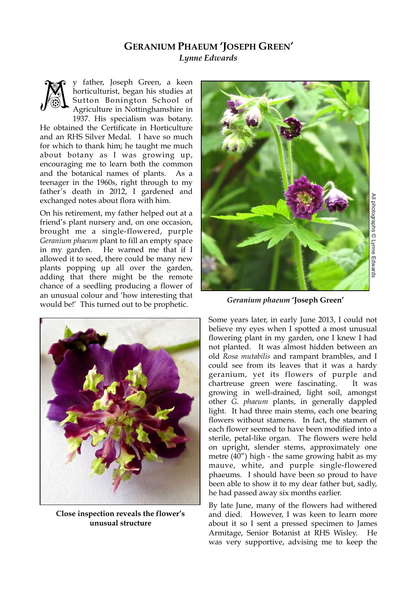## **GERANIUM PHAEUM 'JOSEPH GREEN'** *Lynne Edwards*



y father, Joseph Green, a keen horticulturist, began his studies at Sutton Bonington School of Agriculture in Nottinghamshire in 1937. His specialism was botany.

He obtained the Certificate in Horticulture and an RHS Silver Medal. I have so much for which to thank him; he taught me much about botany as I was growing up, encouraging me to learn both the common and the botanical names of plants. As a teenager in the 1960s, right through to my father's death in 2012, I gardened and exchanged notes about flora with him.

On his retirement, my father helped out at a friend's plant nursery and, on one occasion, brought me a single-flowered, purple *Geranium phaeum* plant to fill an empty space in my garden. He warned me that if I allowed it to seed, there could be many new plants popping up all over the garden, adding that there might be the remote chance of a seedling producing a flower of an unusual colour and 'how interesting that would be!' This turned out to be prophetic.



**Close inspection reveals the flower's unusual structure**



*Geranium phaeum* **'Joseph Green'**

Some years later, in early June 2013, I could not believe my eyes when I spotted a most unusual flowering plant in my garden, one I knew I had not planted. It was almost hidden between an old *Rosa mutabilis* and rampant brambles, and I could see from its leaves that it was a hardy geranium, yet its flowers of purple and chartreuse green were fascinating. It was growing in well-drained, light soil, amongst other *G. phaeum* plants, in generally dappled light. It had three main stems, each one bearing flowers without stamens. In fact, the stamen of each flower seemed to have been modified into a sterile, petal-like organ. The flowers were held on upright, slender stems, approximately one metre (40") high - the same growing habit as my mauve, white, and purple single-flowered phaeums. I should have been so proud to have been able to show it to my dear father but, sadly, he had passed away six months earlier.

By late June, many of the flowers had withered and died. However, I was keen to learn more about it so I sent a pressed specimen to James Armitage, Senior Botanist at RHS Wisley. He was very supportive, advising me to keep the